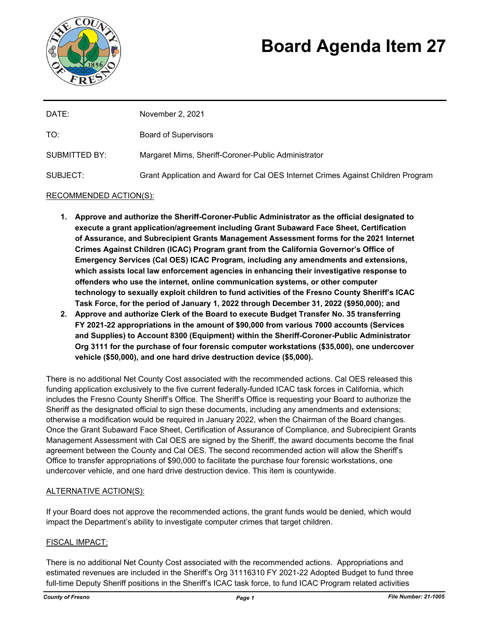

# **Board Agenda Item 27**

| DATE:                | November 2, 2021                                                                 |
|----------------------|----------------------------------------------------------------------------------|
| TO:                  | <b>Board of Supervisors</b>                                                      |
| <b>SUBMITTED BY:</b> | Margaret Mims, Sheriff-Coroner-Public Administrator                              |
| SUBJECT:             | Grant Application and Award for Cal OES Internet Crimes Against Children Program |

# RECOMMENDED ACTION(S):

- **1. Approve and authorize the Sheriff-Coroner-Public Administrator as the official designated to execute a grant application/agreement including Grant Subaward Face Sheet, Certification of Assurance, and Subrecipient Grants Management Assessment forms for the 2021 Internet Crimes Against Children (ICAC) Program grant from the California Governor's Office of Emergency Services (Cal OES) ICAC Program, including any amendments and extensions, which assists local law enforcement agencies in enhancing their investigative response to offenders who use the internet, online communication systems, or other computer technology to sexually exploit children to fund activities of the Fresno County Sheriff's ICAC Task Force, for the period of January 1, 2022 through December 31, 2022 (\$950,000); and**
- **2. Approve and authorize Clerk of the Board to execute Budget Transfer No. 35 transferring FY 2021-22 appropriations in the amount of \$90,000 from various 7000 accounts (Services and Supplies) to Account 8300 (Equipment) within the Sheriff-Coroner-Public Administrator Org 3111 for the purchase of four forensic computer workstations (\$35,000), one undercover vehicle (\$50,000), and one hard drive destruction device (\$5,000).**

There is no additional Net County Cost associated with the recommended actions. Cal OES released this funding application exclusively to the five current federally-funded ICAC task forces in California, which includes the Fresno County Sheriff's Office. The Sheriff's Office is requesting your Board to authorize the Sheriff as the designated official to sign these documents, including any amendments and extensions; otherwise a modification would be required in January 2022, when the Chairman of the Board changes. Once the Grant Subaward Face Sheet, Certification of Assurance of Compliance, and Subrecipient Grants Management Assessment with Cal OES are signed by the Sheriff, the award documents become the final agreement between the County and Cal OES. The second recommended action will allow the Sheriff's Office to transfer appropriations of \$90,000 to facilitate the purchase four forensic workstations, one undercover vehicle, and one hard drive destruction device. This item is countywide.

### ALTERNATIVE ACTION(S):

If your Board does not approve the recommended actions, the grant funds would be denied, which would impact the Department's ability to investigate computer crimes that target children.

### FISCAL IMPACT:

There is no additional Net County Cost associated with the recommended actions. Appropriations and estimated revenues are included in the Sheriff's Org 31116310 FY 2021-22 Adopted Budget to fund three full-time Deputy Sheriff positions in the Sheriff's ICAC task force, to fund ICAC Program related activities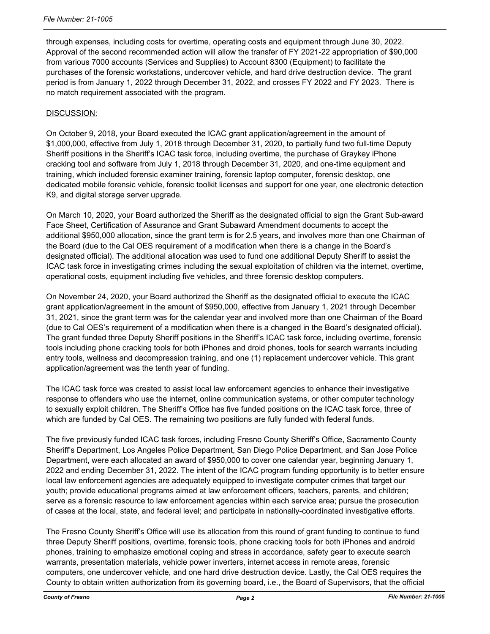through expenses, including costs for overtime, operating costs and equipment through June 30, 2022. Approval of the second recommended action will allow the transfer of FY 2021-22 appropriation of \$90,000 from various 7000 accounts (Services and Supplies) to Account 8300 (Equipment) to facilitate the purchases of the forensic workstations, undercover vehicle, and hard drive destruction device. The grant period is from January 1, 2022 through December 31, 2022, and crosses FY 2022 and FY 2023. There is no match requirement associated with the program.

## DISCUSSION:

On October 9, 2018, your Board executed the ICAC grant application/agreement in the amount of \$1,000,000, effective from July 1, 2018 through December 31, 2020, to partially fund two full-time Deputy Sheriff positions in the Sheriff's ICAC task force, including overtime, the purchase of Graykey iPhone cracking tool and software from July 1, 2018 through December 31, 2020, and one-time equipment and training, which included forensic examiner training, forensic laptop computer, forensic desktop, one dedicated mobile forensic vehicle, forensic toolkit licenses and support for one year, one electronic detection K9, and digital storage server upgrade.

On March 10, 2020, your Board authorized the Sheriff as the designated official to sign the Grant Sub-award Face Sheet, Certification of Assurance and Grant Subaward Amendment documents to accept the additional \$950,000 allocation, since the grant term is for 2.5 years, and involves more than one Chairman of the Board (due to the Cal OES requirement of a modification when there is a change in the Board's designated official). The additional allocation was used to fund one additional Deputy Sheriff to assist the ICAC task force in investigating crimes including the sexual exploitation of children via the internet, overtime, operational costs, equipment including five vehicles, and three forensic desktop computers.

On November 24, 2020, your Board authorized the Sheriff as the designated official to execute the ICAC grant application/agreement in the amount of \$950,000, effective from January 1, 2021 through December 31, 2021, since the grant term was for the calendar year and involved more than one Chairman of the Board (due to Cal OES's requirement of a modification when there is a changed in the Board's designated official). The grant funded three Deputy Sheriff positions in the Sheriff's ICAC task force, including overtime, forensic tools including phone cracking tools for both iPhones and droid phones, tools for search warrants including entry tools, wellness and decompression training, and one (1) replacement undercover vehicle. This grant application/agreement was the tenth year of funding.

The ICAC task force was created to assist local law enforcement agencies to enhance their investigative response to offenders who use the internet, online communication systems, or other computer technology to sexually exploit children. The Sheriff's Office has five funded positions on the ICAC task force, three of which are funded by Cal OES. The remaining two positions are fully funded with federal funds.

The five previously funded ICAC task forces, including Fresno County Sheriff's Office, Sacramento County Sheriff's Department, Los Angeles Police Department, San Diego Police Department, and San Jose Police Department, were each allocated an award of \$950,000 to cover one calendar year, beginning January 1, 2022 and ending December 31, 2022. The intent of the ICAC program funding opportunity is to better ensure local law enforcement agencies are adequately equipped to investigate computer crimes that target our youth; provide educational programs aimed at law enforcement officers, teachers, parents, and children; serve as a forensic resource to law enforcement agencies within each service area; pursue the prosecution of cases at the local, state, and federal level; and participate in nationally-coordinated investigative efforts.

The Fresno County Sheriff's Office will use its allocation from this round of grant funding to continue to fund three Deputy Sheriff positions, overtime, forensic tools, phone cracking tools for both iPhones and android phones, training to emphasize emotional coping and stress in accordance, safety gear to execute search warrants, presentation materials, vehicle power inverters, internet access in remote areas, forensic computers, one undercover vehicle, and one hard drive destruction device. Lastly, the Cal OES requires the County to obtain written authorization from its governing board, i.e., the Board of Supervisors, that the official